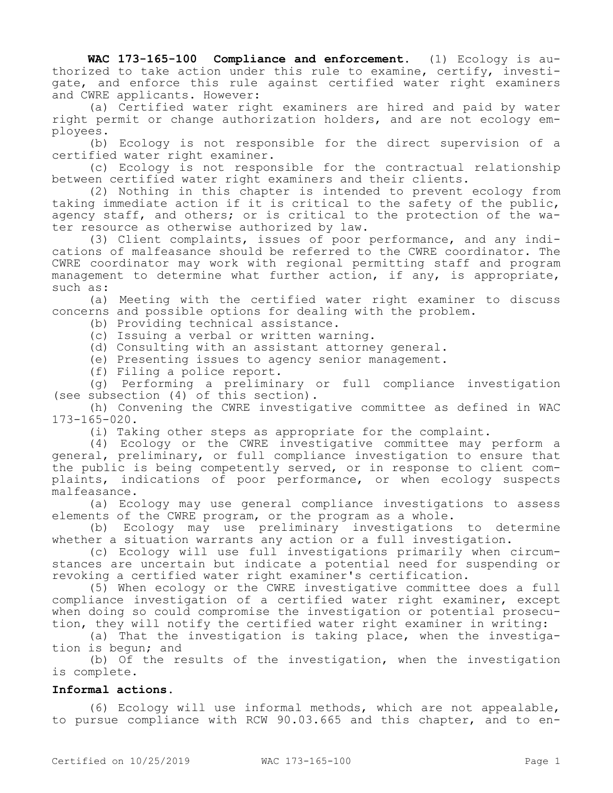**WAC 173-165-100 Compliance and enforcement.** (1) Ecology is authorized to take action under this rule to examine, certify, investigate, and enforce this rule against certified water right examiners and CWRE applicants. However:

(a) Certified water right examiners are hired and paid by water right permit or change authorization holders, and are not ecology employees.

(b) Ecology is not responsible for the direct supervision of a certified water right examiner.

(c) Ecology is not responsible for the contractual relationship between certified water right examiners and their clients.

(2) Nothing in this chapter is intended to prevent ecology from taking immediate action if it is critical to the safety of the public, agency staff, and others; or is critical to the protection of the water resource as otherwise authorized by law.

(3) Client complaints, issues of poor performance, and any indications of malfeasance should be referred to the CWRE coordinator. The CWRE coordinator may work with regional permitting staff and program management to determine what further action, if any, is appropriate, such as:

(a) Meeting with the certified water right examiner to discuss concerns and possible options for dealing with the problem.

(b) Providing technical assistance.

(c) Issuing a verbal or written warning.

(d) Consulting with an assistant attorney general.

(e) Presenting issues to agency senior management.

(f) Filing a police report.

(g) Performing a preliminary or full compliance investigation (see subsection (4) of this section).

(h) Convening the CWRE investigative committee as defined in WAC 173-165-020.

(i) Taking other steps as appropriate for the complaint.

(4) Ecology or the CWRE investigative committee may perform a general, preliminary, or full compliance investigation to ensure that the public is being competently served, or in response to client complaints, indications of poor performance, or when ecology suspects malfeasance.

(a) Ecology may use general compliance investigations to assess elements of the CWRE program, or the program as a whole.

(b) Ecology may use preliminary investigations to determine whether a situation warrants any action or a full investigation.

(c) Ecology will use full investigations primarily when circumstances are uncertain but indicate a potential need for suspending or revoking a certified water right examiner's certification.

(5) When ecology or the CWRE investigative committee does a full compliance investigation of a certified water right examiner, except when doing so could compromise the investigation or potential prosecution, they will notify the certified water right examiner in writing:

(a) That the investigation is taking place, when the investigation is begun; and

(b) Of the results of the investigation, when the investigation is complete.

## **Informal actions.**

(6) Ecology will use informal methods, which are not appealable, to pursue compliance with RCW 90.03.665 and this chapter, and to en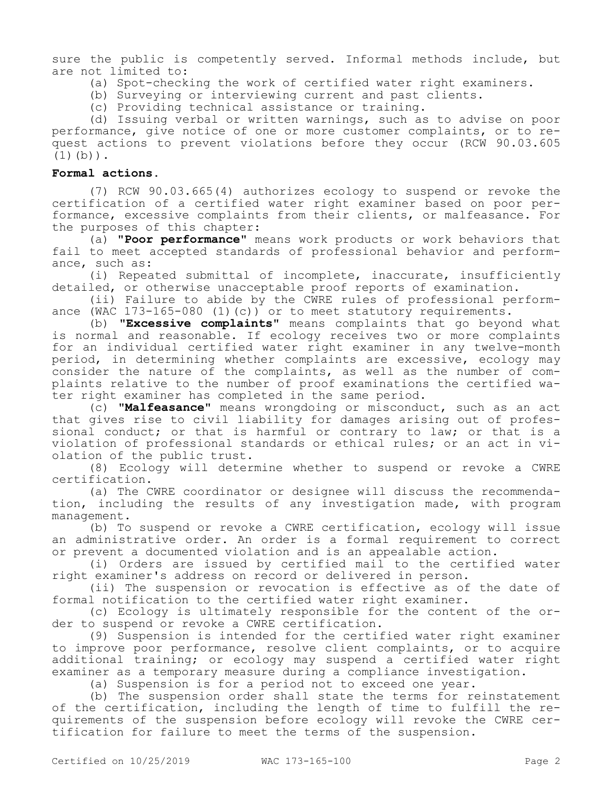sure the public is competently served. Informal methods include, but are not limited to:

- (a) Spot-checking the work of certified water right examiners.
- (b) Surveying or interviewing current and past clients.
- (c) Providing technical assistance or training.

(d) Issuing verbal or written warnings, such as to advise on poor performance, give notice of one or more customer complaints, or to request actions to prevent violations before they occur (RCW 90.03.605  $(1)(b)$ .

## **Formal actions.**

(7) RCW 90.03.665(4) authorizes ecology to suspend or revoke the certification of a certified water right examiner based on poor performance, excessive complaints from their clients, or malfeasance. For the purposes of this chapter:

(a) **"Poor performance"** means work products or work behaviors that fail to meet accepted standards of professional behavior and performance, such as:

(i) Repeated submittal of incomplete, inaccurate, insufficiently detailed, or otherwise unacceptable proof reports of examination.

(ii) Failure to abide by the CWRE rules of professional performance (WAC 173-165-080 (1)(c)) or to meet statutory requirements.

(b) **"Excessive complaints"** means complaints that go beyond what is normal and reasonable. If ecology receives two or more complaints for an individual certified water right examiner in any twelve-month period, in determining whether complaints are excessive, ecology may consider the nature of the complaints, as well as the number of complaints relative to the number of proof examinations the certified water right examiner has completed in the same period.

(c) **"Malfeasance"** means wrongdoing or misconduct, such as an act that gives rise to civil liability for damages arising out of professional conduct; or that is harmful or contrary to law; or that is a violation of professional standards or ethical rules; or an act in violation of the public trust.

(8) Ecology will determine whether to suspend or revoke a CWRE certification.

(a) The CWRE coordinator or designee will discuss the recommendation, including the results of any investigation made, with program management.

(b) To suspend or revoke a CWRE certification, ecology will issue an administrative order. An order is a formal requirement to correct or prevent a documented violation and is an appealable action.

(i) Orders are issued by certified mail to the certified water right examiner's address on record or delivered in person.

(ii) The suspension or revocation is effective as of the date of formal notification to the certified water right examiner.

(c) Ecology is ultimately responsible for the content of the order to suspend or revoke a CWRE certification.

(9) Suspension is intended for the certified water right examiner to improve poor performance, resolve client complaints, or to acquire additional training; or ecology may suspend a certified water right examiner as a temporary measure during a compliance investigation.

(a) Suspension is for a period not to exceed one year.

(b) The suspension order shall state the terms for reinstatement of the certification, including the length of time to fulfill the requirements of the suspension before ecology will revoke the CWRE certification for failure to meet the terms of the suspension.